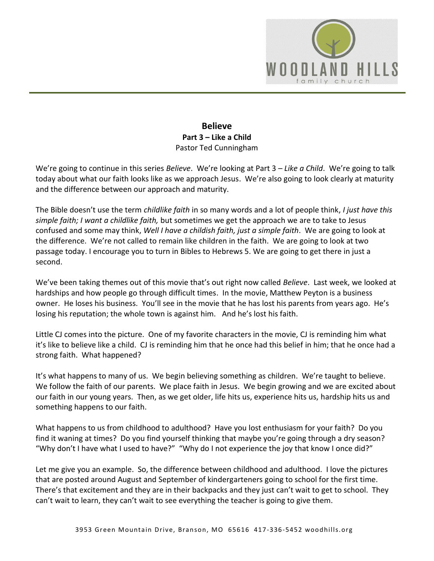

## **Believe Part 3 – Like a Child**  Pastor Ted Cunningham

We're going to continue in this series *Believe*. We're looking at Part 3 – *Like a Child*. We're going to talk today about what our faith looks like as we approach Jesus. We're also going to look clearly at maturity and the difference between our approach and maturity.

The Bible doesn't use the term *childlike faith* in so many words and a lot of people think, *I just have this simple faith; I want a childlike faith,* but sometimes we get the approach we are to take to Jesus confused and some may think, *Well I have a childish faith, just a simple faith*. We are going to look at the difference. We're not called to remain like children in the faith. We are going to look at two passage today. I encourage you to turn in Bibles to Hebrews 5. We are going to get there in just a second.

We've been taking themes out of this movie that's out right now called *Believe*. Last week, we looked at hardships and how people go through difficult times. In the movie, Matthew Peyton is a business owner. He loses his business. You'll see in the movie that he has lost his parents from years ago. He's losing his reputation; the whole town is against him. And he's lost his faith.

Little CJ comes into the picture. One of my favorite characters in the movie, CJ is reminding him what it's like to believe like a child. CJ is reminding him that he once had this belief in him; that he once had a strong faith. What happened?

It's what happens to many of us. We begin believing something as children. We're taught to believe. We follow the faith of our parents. We place faith in Jesus. We begin growing and we are excited about our faith in our young years. Then, as we get older, life hits us, experience hits us, hardship hits us and something happens to our faith.

What happens to us from childhood to adulthood? Have you lost enthusiasm for your faith? Do you find it waning at times? Do you find yourself thinking that maybe you're going through a dry season? "Why don't I have what I used to have?" "Why do I not experience the joy that know I once did?"

Let me give you an example. So, the difference between childhood and adulthood. I love the pictures that are posted around August and September of kindergarteners going to school for the first time. There's that excitement and they are in their backpacks and they just can't wait to get to school. They can't wait to learn, they can't wait to see everything the teacher is going to give them.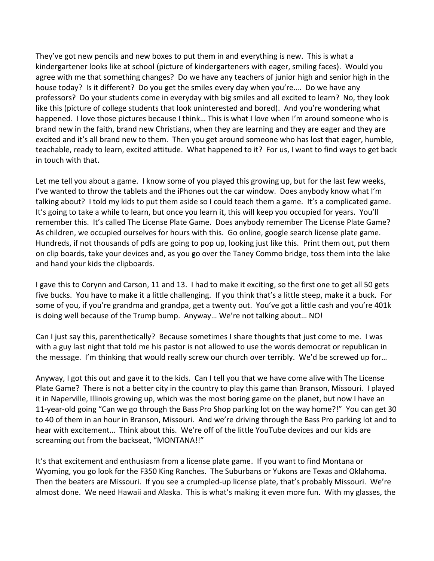They've got new pencils and new boxes to put them in and everything is new. This is what a kindergartener looks like at school (picture of kindergarteners with eager, smiling faces). Would you agree with me that something changes? Do we have any teachers of junior high and senior high in the house today? Is it different? Do you get the smiles every day when you're…. Do we have any professors? Do your students come in everyday with big smiles and all excited to learn? No, they look like this (picture of college students that look uninterested and bored). And you're wondering what happened. I love those pictures because I think... This is what I love when I'm around someone who is brand new in the faith, brand new Christians, when they are learning and they are eager and they are excited and it's all brand new to them. Then you get around someone who has lost that eager, humble, teachable, ready to learn, excited attitude. What happened to it? For us, I want to find ways to get back in touch with that.

Let me tell you about a game. I know some of you played this growing up, but for the last few weeks, I've wanted to throw the tablets and the iPhones out the car window. Does anybody know what I'm talking about? I told my kids to put them aside so I could teach them a game. It's a complicated game. It's going to take a while to learn, but once you learn it, this will keep you occupied for years. You'll remember this. It's called The License Plate Game. Does anybody remember The License Plate Game? As children, we occupied ourselves for hours with this. Go online, google search license plate game. Hundreds, if not thousands of pdfs are going to pop up, looking just like this. Print them out, put them on clip boards, take your devices and, as you go over the Taney Commo bridge, toss them into the lake and hand your kids the clipboards.

I gave this to Corynn and Carson, 11 and 13. I had to make it exciting, so the first one to get all 50 gets five bucks. You have to make it a little challenging. If you think that's a little steep, make it a buck. For some of you, if you're grandma and grandpa, get a twenty out. You've got a little cash and you're 401k is doing well because of the Trump bump. Anyway… We're not talking about… NO!

Can I just say this, parenthetically? Because sometimes I share thoughts that just come to me. I was with a guy last night that told me his pastor is not allowed to use the words democrat or republican in the message. I'm thinking that would really screw our church over terribly. We'd be screwed up for…

Anyway, I got this out and gave it to the kids. Can I tell you that we have come alive with The License Plate Game? There is not a better city in the country to play this game than Branson, Missouri. I played it in Naperville, Illinois growing up, which was the most boring game on the planet, but now I have an 11-year-old going "Can we go through the Bass Pro Shop parking lot on the way home?!" You can get 30 to 40 of them in an hour in Branson, Missouri. And we're driving through the Bass Pro parking lot and to hear with excitement… Think about this. We're off of the little YouTube devices and our kids are screaming out from the backseat, "MONTANA!!"

It's that excitement and enthusiasm from a license plate game. If you want to find Montana or Wyoming, you go look for the F350 King Ranches. The Suburbans or Yukons are Texas and Oklahoma. Then the beaters are Missouri. If you see a crumpled-up license plate, that's probably Missouri. We're almost done. We need Hawaii and Alaska. This is what's making it even more fun. With my glasses, the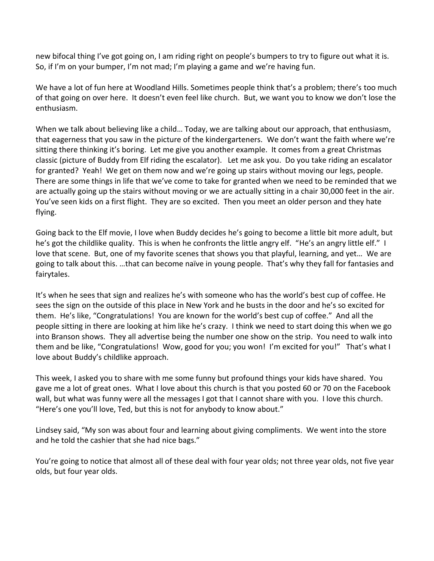new bifocal thing I've got going on, I am riding right on people's bumpers to try to figure out what it is. So, if I'm on your bumper, I'm not mad; I'm playing a game and we're having fun.

We have a lot of fun here at Woodland Hills. Sometimes people think that's a problem; there's too much of that going on over here. It doesn't even feel like church. But, we want you to know we don't lose the enthusiasm.

When we talk about believing like a child… Today, we are talking about our approach, that enthusiasm, that eagerness that you saw in the picture of the kindergarteners. We don't want the faith where we're sitting there thinking it's boring. Let me give you another example. It comes from a great Christmas classic (picture of Buddy from Elf riding the escalator). Let me ask you. Do you take riding an escalator for granted? Yeah! We get on them now and we're going up stairs without moving our legs, people. There are some things in life that we've come to take for granted when we need to be reminded that we are actually going up the stairs without moving or we are actually sitting in a chair 30,000 feet in the air. You've seen kids on a first flight. They are so excited. Then you meet an older person and they hate flying.

Going back to the Elf movie, I love when Buddy decides he's going to become a little bit more adult, but he's got the childlike quality. This is when he confronts the little angry elf. "He's an angry little elf." I love that scene. But, one of my favorite scenes that shows you that playful, learning, and yet… We are going to talk about this. …that can become naïve in young people. That's why they fall for fantasies and fairytales.

It's when he sees that sign and realizes he's with someone who has the world's best cup of coffee. He sees the sign on the outside of this place in New York and he busts in the door and he's so excited for them. He's like, "Congratulations! You are known for the world's best cup of coffee." And all the people sitting in there are looking at him like he's crazy. I think we need to start doing this when we go into Branson shows. They all advertise being the number one show on the strip. You need to walk into them and be like, "Congratulations! Wow, good for you; you won! I'm excited for you!" That's what I love about Buddy's childlike approach.

This week, I asked you to share with me some funny but profound things your kids have shared. You gave me a lot of great ones. What I love about this church is that you posted 60 or 70 on the Facebook wall, but what was funny were all the messages I got that I cannot share with you. I love this church. "Here's one you'll love, Ted, but this is not for anybody to know about."

Lindsey said, "My son was about four and learning about giving compliments. We went into the store and he told the cashier that she had nice bags."

You're going to notice that almost all of these deal with four year olds; not three year olds, not five year olds, but four year olds.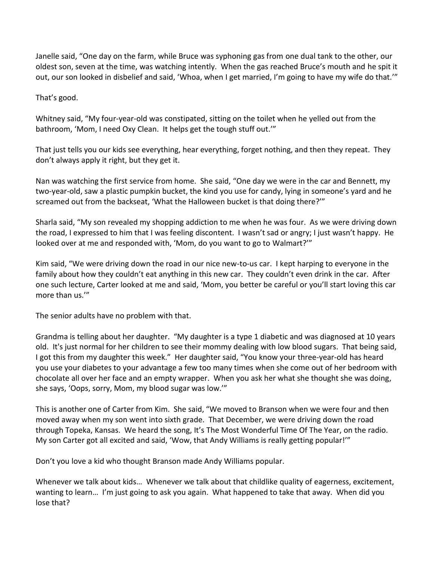Janelle said, "One day on the farm, while Bruce was syphoning gas from one dual tank to the other, our oldest son, seven at the time, was watching intently. When the gas reached Bruce's mouth and he spit it out, our son looked in disbelief and said, 'Whoa, when I get married, I'm going to have my wife do that.'"

That's good.

Whitney said, "My four-year-old was constipated, sitting on the toilet when he yelled out from the bathroom, 'Mom, I need Oxy Clean. It helps get the tough stuff out.'"

That just tells you our kids see everything, hear everything, forget nothing, and then they repeat. They don't always apply it right, but they get it.

Nan was watching the first service from home. She said, "One day we were in the car and Bennett, my two-year-old, saw a plastic pumpkin bucket, the kind you use for candy, lying in someone's yard and he screamed out from the backseat, 'What the Halloween bucket is that doing there?'"

Sharla said, "My son revealed my shopping addiction to me when he was four. As we were driving down the road, I expressed to him that I was feeling discontent. I wasn't sad or angry; I just wasn't happy. He looked over at me and responded with, 'Mom, do you want to go to Walmart?'"

Kim said, "We were driving down the road in our nice new-to-us car. I kept harping to everyone in the family about how they couldn't eat anything in this new car. They couldn't even drink in the car. After one such lecture, Carter looked at me and said, 'Mom, you better be careful or you'll start loving this car more than us.'"

The senior adults have no problem with that.

Grandma is telling about her daughter. "My daughter is a type 1 diabetic and was diagnosed at 10 years old. It's just normal for her children to see their mommy dealing with low blood sugars. That being said, I got this from my daughter this week." Her daughter said, "You know your three-year-old has heard you use your diabetes to your advantage a few too many times when she come out of her bedroom with chocolate all over her face and an empty wrapper. When you ask her what she thought she was doing, she says, 'Oops, sorry, Mom, my blood sugar was low.'"

This is another one of Carter from Kim. She said, "We moved to Branson when we were four and then moved away when my son went into sixth grade. That December, we were driving down the road through Topeka, Kansas. We heard the song, It's The Most Wonderful Time Of The Year, on the radio. My son Carter got all excited and said, 'Wow, that Andy Williams is really getting popular!'"

Don't you love a kid who thought Branson made Andy Williams popular.

Whenever we talk about kids... Whenever we talk about that childlike quality of eagerness, excitement, wanting to learn… I'm just going to ask you again. What happened to take that away. When did you lose that?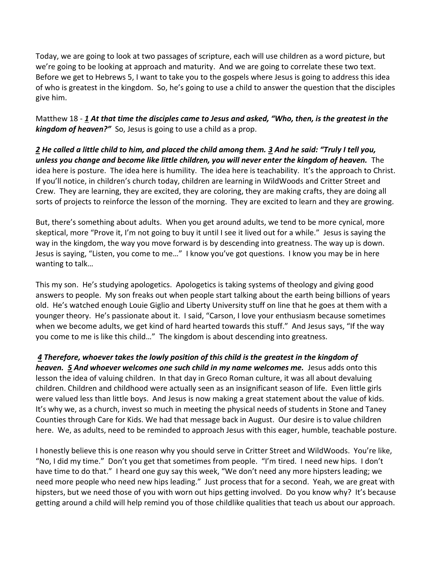Today, we are going to look at two passages of scripture, each will use children as a word picture, but we're going to be looking at approach and maturity. And we are going to correlate these two text. Before we get to Hebrews 5, I want to take you to the gospels where Jesus is going to address this idea of who is greatest in the kingdom. So, he's going to use a child to answer the question that the disciples give him.

Matthew 18 - *[1](http://www.studylight.org/desk/?q=mt%2018:1&t1=en_niv&sr=1) At that time the disciples came to Jesus and asked, "Who, then, is the greatest in the kingdom of heaven?"* So, Jesus is going to use a child as a prop.

*[2](http://www.studylight.org/desk/?q=mt%2018:2&t1=en_niv&sr=1) He called a little child to him, and placed the child among them. [3](http://www.studylight.org/desk/?q=mt%2018:3&t1=en_niv&sr=1) And he said: "Truly I tell you, unless you change and become like little children, you will never enter the kingdom of heaven.* The idea here is posture. The idea here is humility. The idea here is teachability. It's the approach to Christ. If you'll notice, in children's church today, children are learning in WildWoods and Critter Street and Crew. They are learning, they are excited, they are coloring, they are making crafts, they are doing all sorts of projects to reinforce the lesson of the morning. They are excited to learn and they are growing.

But, there's something about adults. When you get around adults, we tend to be more cynical, more skeptical, more "Prove it, I'm not going to buy it until I see it lived out for a while." Jesus is saying the way in the kingdom, the way you move forward is by descending into greatness. The way up is down. Jesus is saying, "Listen, you come to me…" I know you've got questions. I know you may be in here wanting to talk…

This my son. He's studying apologetics. Apologetics is taking systems of theology and giving good answers to people. My son freaks out when people start talking about the earth being billions of years old. He's watched enough Louie Giglio and Liberty University stuff on line that he goes at them with a younger theory. He's passionate about it. I said, "Carson, I love your enthusiasm because sometimes when we become adults, we get kind of hard hearted towards this stuff." And Jesus says, "If the way you come to me is like this child…" The kingdom is about descending into greatness.

*[4](http://www.studylight.org/desk/?q=mt%2018:4&t1=en_niv&sr=1) Therefore, whoever takes the lowly position of this child is the greatest in the kingdom of heaven. [5](http://www.studylight.org/desk/?q=mt%2018:5&t1=en_niv&sr=1) And whoever welcomes one such child in my name welcomes me.* Jesus adds onto this lesson the idea of valuing children. In that day in Greco Roman culture, it was all about devaluing children. Children and childhood were actually seen as an insignificant season of life. Even little girls were valued less than little boys. And Jesus is now making a great statement about the value of kids. It's why we, as a church, invest so much in meeting the physical needs of students in Stone and Taney Counties through Care for Kids. We had that message back in August. Our desire is to value children here. We, as adults, need to be reminded to approach Jesus with this eager, humble, teachable posture.

I honestly believe this is one reason why you should serve in Critter Street and WildWoods. You're like, "No, I did my time." Don't you get that sometimes from people. "I'm tired. I need new hips. I don't have time to do that." I heard one guy say this week, "We don't need any more hipsters leading; we need more people who need new hips leading." Just process that for a second. Yeah, we are great with hipsters, but we need those of you with worn out hips getting involved. Do you know why? It's because getting around a child will help remind you of those childlike qualities that teach us about our approach.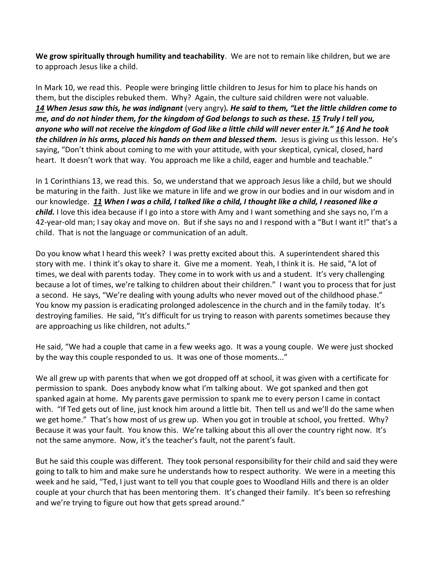**We grow spiritually through humility and teachability**. We are not to remain like children, but we are to approach Jesus like a child.

In Mark 10, we read this. People were bringing little children to Jesus for him to place his hands on them, but the disciples rebuked them. Why? Again, the culture said children were not valuable. *[14](http://www.studylight.org/desk/?q=mr%2010:14&t1=en_niv&sr=1) When Jesus saw this, he was indignant* (very angry)*. He said to them, "Let the little children come to me, and do not hinder them, for the kingdom of God belongs to such as these. [15](http://www.studylight.org/desk/?q=mr%2010:15&t1=en_niv&sr=1) Truly I tell you, anyone who will not receive the kingdom of God like a little child will never enter it." [16](http://www.studylight.org/desk/?q=mr%2010:16&t1=en_niv&sr=1) And he took the children in his arms, placed his hands on them and blessed them.* Jesus is giving us this lesson. He's saying, "Don't think about coming to me with your attitude, with your skeptical, cynical, closed, hard heart. It doesn't work that way. You approach me like a child, eager and humble and teachable."

In 1 Corinthians 13, we read this. So, we understand that we approach Jesus like a child, but we should be maturing in the faith. Just like we mature in life and we grow in our bodies and in our wisdom and in our knowledge. *[11](http://www.studylight.org/desk/?q=1co%2013:11&t1=en_niv&sr=1) When I was a child, I talked like a child, I thought like a child, I reasoned like a child.* I love this idea because if I go into a store with Amy and I want something and she says no, I'm a 42-year-old man; I say okay and move on. But if she says no and I respond with a "But I want it!" that's a child. That is not the language or communication of an adult.

Do you know what I heard this week? I was pretty excited about this. A superintendent shared this story with me. I think it's okay to share it. Give me a moment. Yeah, I think it is. He said, "A lot of times, we deal with parents today. They come in to work with us and a student. It's very challenging because a lot of times, we're talking to children about their children." I want you to process that for just a second. He says, "We're dealing with young adults who never moved out of the childhood phase." You know my passion is eradicating prolonged adolescence in the church and in the family today. It's destroying families. He said, "It's difficult for us trying to reason with parents sometimes because they are approaching us like children, not adults."

He said, "We had a couple that came in a few weeks ago. It was a young couple. We were just shocked by the way this couple responded to us. It was one of those moments..."

We all grew up with parents that when we got dropped off at school, it was given with a certificate for permission to spank. Does anybody know what I'm talking about. We got spanked and then got spanked again at home. My parents gave permission to spank me to every person I came in contact with. "If Ted gets out of line, just knock him around a little bit. Then tell us and we'll do the same when we get home." That's how most of us grew up. When you got in trouble at school, you fretted. Why? Because it was your fault. You know this. We're talking about this all over the country right now. It's not the same anymore. Now, it's the teacher's fault, not the parent's fault.

But he said this couple was different. They took personal responsibility for their child and said they were going to talk to him and make sure he understands how to respect authority. We were in a meeting this week and he said, "Ted, I just want to tell you that couple goes to Woodland Hills and there is an older couple at your church that has been mentoring them. It's changed their family. It's been so refreshing and we're trying to figure out how that gets spread around."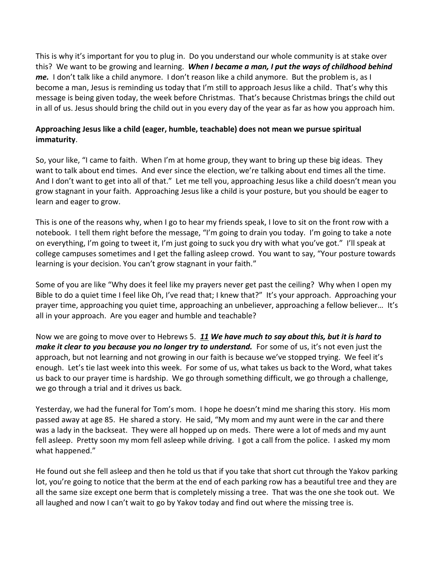This is why it's important for you to plug in. Do you understand our whole community is at stake over this? We want to be growing and learning. *When I became a man, I put the ways of childhood behind me.* I don't talk like a child anymore. I don't reason like a child anymore. But the problem is, as I become a man, Jesus is reminding us today that I'm still to approach Jesus like a child. That's why this message is being given today, the week before Christmas. That's because Christmas brings the child out in all of us. Jesus should bring the child out in you every day of the year as far as how you approach him.

## **Approaching Jesus like a child (eager, humble, teachable) does not mean we pursue spiritual immaturity**.

So, your like, "I came to faith. When I'm at home group, they want to bring up these big ideas. They want to talk about end times. And ever since the election, we're talking about end times all the time. And I don't want to get into all of that." Let me tell you, approaching Jesus like a child doesn't mean you grow stagnant in your faith. Approaching Jesus like a child is your posture, but you should be eager to learn and eager to grow.

This is one of the reasons why, when I go to hear my friends speak, I love to sit on the front row with a notebook. I tell them right before the message, "I'm going to drain you today. I'm going to take a note on everything, I'm going to tweet it, I'm just going to suck you dry with what you've got." I'll speak at college campuses sometimes and I get the falling asleep crowd. You want to say, "Your posture towards learning is your decision. You can't grow stagnant in your faith."

Some of you are like "Why does it feel like my prayers never get past the ceiling? Why when I open my Bible to do a quiet time I feel like Oh, I've read that; I knew that?" It's your approach. Approaching your prayer time, approaching you quiet time, approaching an unbeliever, approaching a fellow believer… It's all in your approach. Are you eager and humble and teachable?

Now we are going to move over to Hebrews 5. *[11](http://www.studylight.org/desk/?q=heb%205:11&t1=en_niv&sr=1) We have much to say about this, but it is hard to make it clear to you because you no longer try to understand.* For some of us, it's not even just the approach, but not learning and not growing in our faith is because we've stopped trying. We feel it's enough. Let's tie last week into this week. For some of us, what takes us back to the Word, what takes us back to our prayer time is hardship. We go through something difficult, we go through a challenge, we go through a trial and it drives us back.

Yesterday, we had the funeral for Tom's mom. I hope he doesn't mind me sharing this story. His mom passed away at age 85. He shared a story. He said, "My mom and my aunt were in the car and there was a lady in the backseat. They were all hopped up on meds. There were a lot of meds and my aunt fell asleep. Pretty soon my mom fell asleep while driving. I got a call from the police. I asked my mom what happened."

He found out she fell asleep and then he told us that if you take that short cut through the Yakov parking lot, you're going to notice that the berm at the end of each parking row has a beautiful tree and they are all the same size except one berm that is completely missing a tree. That was the one she took out. We all laughed and now I can't wait to go by Yakov today and find out where the missing tree is.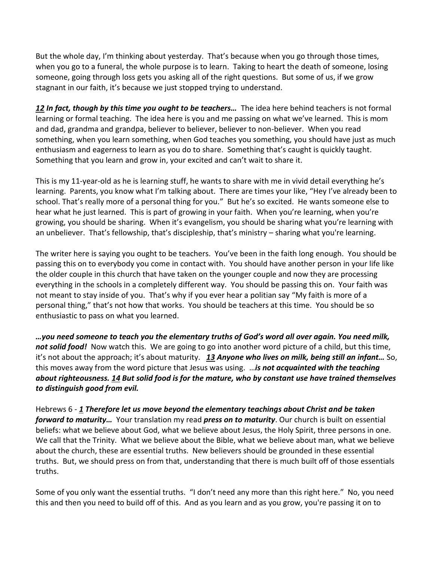But the whole day, I'm thinking about yesterday. That's because when you go through those times, when you go to a funeral, the whole purpose is to learn. Taking to heart the death of someone, losing someone, going through loss gets you asking all of the right questions. But some of us, if we grow stagnant in our faith, it's because we just stopped trying to understand.

*[12](http://www.studylight.org/desk/?q=heb%205:12&t1=en_niv&sr=1) In fact, though by this time you ought to be teachers…* The idea here behind teachers is not formal learning or formal teaching. The idea here is you and me passing on what we've learned. This is mom and dad, grandma and grandpa, believer to believer, believer to non-believer. When you read something, when you learn something, when God teaches you something, you should have just as much enthusiasm and eagerness to learn as you do to share. Something that's caught is quickly taught. Something that you learn and grow in, your excited and can't wait to share it.

This is my 11-year-old as he is learning stuff, he wants to share with me in vivid detail everything he's learning. Parents, you know what I'm talking about. There are times your like, "Hey I've already been to school. That's really more of a personal thing for you." But he's so excited. He wants someone else to hear what he just learned. This is part of growing in your faith. When you're learning, when you're growing, you should be sharing. When it's evangelism, you should be sharing what you're learning with an unbeliever. That's fellowship, that's discipleship, that's ministry – sharing what you're learning.

The writer here is saying you ought to be teachers. You've been in the faith long enough. You should be passing this on to everybody you come in contact with. You should have another person in your life like the older couple in this church that have taken on the younger couple and now they are processing everything in the schools in a completely different way. You should be passing this on. Your faith was not meant to stay inside of you. That's why if you ever hear a politian say "My faith is more of a personal thing," that's not how that works. You should be teachers at this time. You should be so enthusiastic to pass on what you learned.

*…you need someone to teach you the elementary truths of God's word all over again. You need milk, not solid food!* Now watch this. We are going to go into another word picture of a child, but this time, it's not about the approach; it's about maturity. *[13](http://www.studylight.org/desk/?q=heb%205:13&t1=en_niv&sr=1) Anyone who lives on milk, being still an infant…* So, this moves away from the word picture that Jesus was using. …*is not acquainted with the teaching about righteousness. [14](http://www.studylight.org/desk/?q=heb%205:14&t1=en_niv&sr=1) But solid food is for the mature, who by constant use have trained themselves to distinguish good from evil.*

Hebrews 6 - *[1](http://www.studylight.org/desk/?q=heb%206:1&t1=en_niv&sr=1) Therefore let us move beyond the elementary teachings about Christ and be taken forward to maturity…* Your translation my read *press on to maturity*. Our church is built on essential beliefs: what we believe about God, what we believe about Jesus, the Holy Spirit, three persons in one. We call that the Trinity. What we believe about the Bible, what we believe about man, what we believe about the church, these are essential truths. New believers should be grounded in these essential truths. But, we should press on from that, understanding that there is much built off of those essentials truths.

Some of you only want the essential truths. "I don't need any more than this right here." No, you need this and then you need to build off of this. And as you learn and as you grow, you're passing it on to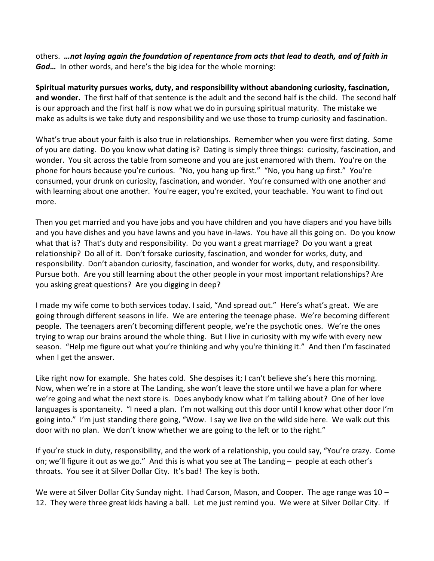others. *…not laying again the foundation of repentance from acts that lead to death, and of faith in God…* In other words, and here's the big idea for the whole morning:

**Spiritual maturity pursues works, duty, and responsibility without abandoning curiosity, fascination, and wonder.** The first half of that sentence is the adult and the second half is the child. The second half is our approach and the first half is now what we do in pursuing spiritual maturity. The mistake we make as adults is we take duty and responsibility and we use those to trump curiosity and fascination.

What's true about your faith is also true in relationships. Remember when you were first dating. Some of you are dating. Do you know what dating is? Dating is simply three things: curiosity, fascination, and wonder. You sit across the table from someone and you are just enamored with them. You're on the phone for hours because you're curious. "No, you hang up first." "No, you hang up first." You're consumed, your drunk on curiosity, fascination, and wonder. You're consumed with one another and with learning about one another. You're eager, you're excited, your teachable. You want to find out more.

Then you get married and you have jobs and you have children and you have diapers and you have bills and you have dishes and you have lawns and you have in-laws. You have all this going on. Do you know what that is? That's duty and responsibility. Do you want a great marriage? Do you want a great relationship? Do all of it. Don't forsake curiosity, fascination, and wonder for works, duty, and responsibility. Don't abandon curiosity, fascination, and wonder for works, duty, and responsibility. Pursue both. Are you still learning about the other people in your most important relationships? Are you asking great questions? Are you digging in deep?

I made my wife come to both services today. I said, "And spread out." Here's what's great. We are going through different seasons in life. We are entering the teenage phase. We're becoming different people. The teenagers aren't becoming different people, we're the psychotic ones. We're the ones trying to wrap our brains around the whole thing. But I live in curiosity with my wife with every new season. "Help me figure out what you're thinking and why you're thinking it." And then I'm fascinated when I get the answer.

Like right now for example. She hates cold. She despises it; I can't believe she's here this morning. Now, when we're in a store at The Landing, she won't leave the store until we have a plan for where we're going and what the next store is. Does anybody know what I'm talking about? One of her love languages is spontaneity. "I need a plan. I'm not walking out this door until I know what other door I'm going into." I'm just standing there going, "Wow. I say we live on the wild side here. We walk out this door with no plan. We don't know whether we are going to the left or to the right."

If you're stuck in duty, responsibility, and the work of a relationship, you could say, "You're crazy. Come on; we'll figure it out as we go." And this is what you see at The Landing – people at each other's throats. You see it at Silver Dollar City. It's bad! The key is both.

We were at Silver Dollar City Sunday night. I had Carson, Mason, and Cooper. The age range was 10 – 12. They were three great kids having a ball. Let me just remind you. We were at Silver Dollar City. If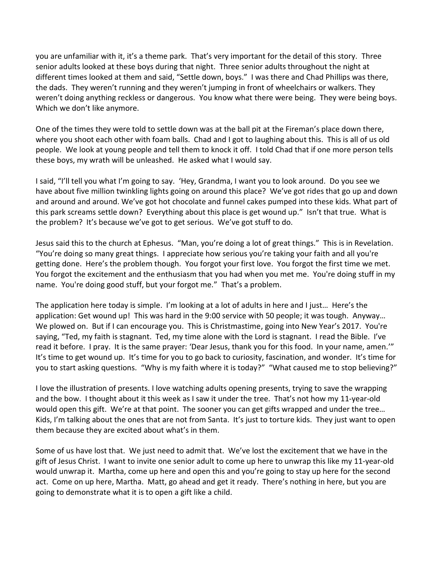you are unfamiliar with it, it's a theme park. That's very important for the detail of this story. Three senior adults looked at these boys during that night. Three senior adults throughout the night at different times looked at them and said, "Settle down, boys." I was there and Chad Phillips was there, the dads. They weren't running and they weren't jumping in front of wheelchairs or walkers. They weren't doing anything reckless or dangerous. You know what there were being. They were being boys. Which we don't like anymore.

One of the times they were told to settle down was at the ball pit at the Fireman's place down there, where you shoot each other with foam balls. Chad and I got to laughing about this. This is all of us old people. We look at young people and tell them to knock it off. I told Chad that if one more person tells these boys, my wrath will be unleashed. He asked what I would say.

I said, "I'll tell you what I'm going to say. 'Hey, Grandma, I want you to look around. Do you see we have about five million twinkling lights going on around this place? We've got rides that go up and down and around and around. We've got hot chocolate and funnel cakes pumped into these kids. What part of this park screams settle down? Everything about this place is get wound up." Isn't that true. What is the problem? It's because we've got to get serious. We've got stuff to do.

Jesus said this to the church at Ephesus. "Man, you're doing a lot of great things." This is in Revelation. "You're doing so many great things. I appreciate how serious you're taking your faith and all you're getting done. Here's the problem though. You forgot your first love. You forgot the first time we met. You forgot the excitement and the enthusiasm that you had when you met me. You're doing stuff in my name. You're doing good stuff, but your forgot me." That's a problem.

The application here today is simple. I'm looking at a lot of adults in here and I just… Here's the application: Get wound up! This was hard in the 9:00 service with 50 people; it was tough. Anyway… We plowed on. But if I can encourage you. This is Christmastime, going into New Year's 2017. You're saying, "Ted, my faith is stagnant. Ted, my time alone with the Lord is stagnant. I read the Bible. I've read it before. I pray. It is the same prayer: 'Dear Jesus, thank you for this food. In your name, amen.'" It's time to get wound up. It's time for you to go back to curiosity, fascination, and wonder. It's time for you to start asking questions. "Why is my faith where it is today?" "What caused me to stop believing?"

I love the illustration of presents. I love watching adults opening presents, trying to save the wrapping and the bow. I thought about it this week as I saw it under the tree. That's not how my 11-year-old would open this gift. We're at that point. The sooner you can get gifts wrapped and under the tree... Kids, I'm talking about the ones that are not from Santa. It's just to torture kids. They just want to open them because they are excited about what's in them.

Some of us have lost that. We just need to admit that. We've lost the excitement that we have in the gift of Jesus Christ. I want to invite one senior adult to come up here to unwrap this like my 11-year-old would unwrap it. Martha, come up here and open this and you're going to stay up here for the second act. Come on up here, Martha. Matt, go ahead and get it ready. There's nothing in here, but you are going to demonstrate what it is to open a gift like a child.